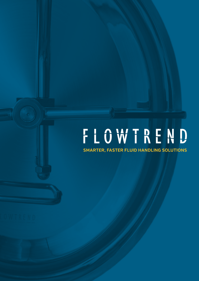**SMARTER, FASTER FLUID HANDLING SOLUTIONS**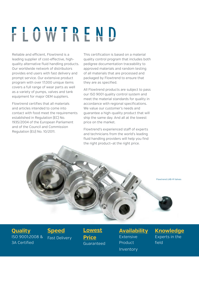Reliable and efficient, Flowtrend is a leading supplier of cost-effective, highquality alternative fluid handling products. Our worldwide network of distributors provides end users with fast delivery and prompt service. Our extensive product program with over 17,000 unique items covers a full range of wear parts as well as a variety of pumps, valves and tank equipment for major OEM suppliers.

Flowtrend certifies that all materials and articles intended to come into contact with food meet the requirements established in Regulation (EC) No. 1935/2004 of the European Parliament and of the Council and Commission Regulation (EU) No. 10/2011.

This certification is based on a material quality control program that includes both pedigree documentation traceability to approved materials and random testing of all materials that are processed and packaged by Flowtrend to ensure that they are as specified.

All Flowtrend products are subject to pass our ISO 9001 quality control system and meet the material standards for quality in accordance with regional specifications. We value our customer's needs and guarantee a high-quality product that will ship the same day. And all at the lowest price on the market.

Flowtrend's experienced staff of experts and technicians from the world's leading fluid handling providers will help you find the right product—at the right price.

Flowtrend LKB-R Valves

#### **Quality** ISO 9001:2008 & 3A Certified

**Speed** Fast Delivery **Lowest Price** Guaranteed **Availability Extensive** Product Inventory

#### **Knowledge** Experts in the field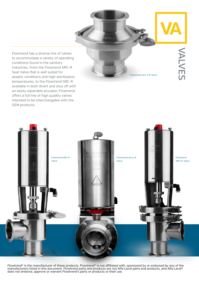NALVES

Flowtrend has a diverse line of valves to accommodate a variety of operating conditions found in the sanitary industries. From the Flowtrend ARC-R Seat Valve that is well suited for aseptic conditions and high sterilization temperatures, to the Flowtrend SRC-R available in both divert and shut off with an easily repairable actuator, Flowtrend offers a full line of high quaility valves intended to be interchangable with the OEM products.

Flowtrend LKC-2-R Valve

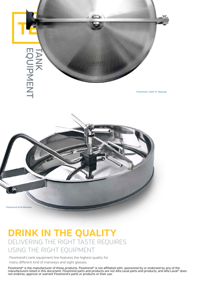

### **DRINK IN THE QUALITY** DELIVERING THE RIGHT TASTE REQUIRES USING THE RIGHT EQUIPMENT

Flowtrend's tank equipment line features the highest quality for many different kind of manways and sight glasses.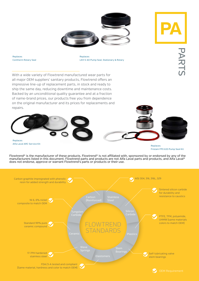



PART:

Replaces Contherm Rotary Seal Replaces LKH 5-60 Pump Seal, Stationary & Rotary

With a wide variety of Flowtrend manufactured wear parts for all major OEM suppliers' sanitary products, Flowtrend offers an impressive line-up of replacement parts, in stock and ready to ship the same day, reducing downtime and maintenance costs. Backed by an unconditional quality guarantee and at a fraction of name-brand prices, our products free you from dependence on the original manufacturer and its prices for replacements and repairs.



Alfa Laval ARC Service Kit

Replaces Fristam FPX 633 Pump Seal Kit

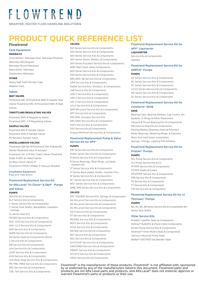**SMARTER, FASTER FLUID HANDLING SOLUTIONS** 

## **PRODUCT QUICK REFERENCE LIST**

#### **Flowtrend**

#### **Tank Equipment**

#### **MANWAYS**

Cone Bottom Manways Oval Manways Pressure Manways Rectangular Manways Round Manways Glass Dome Manways Shadowless Manways

#### **OTHER**

Heavy Wall Tank Ferrules Tube Adapter Caps

#### **Valves**

#### **SEAT VALVES**

Flowtrend ARC-R/Flowtrend AMO-R Aseptic Seat Valves Flowtrend SRC-R/Flowtrend SMO-R Seat Valves

#### **THROTTLING/REGULATING VALVES**

Flowtrend SMO-R Regulating Valves Flowtrend SPC-1-R Regulating Valves

#### **SAMPLE VALVES**

Flowtrend 660-R Sample Valves Flowtrend W30-R Sample Valves PE Brewery Sample Valve

#### **MISCELLANEOUS VALVES**

Flowtrend LKB 51A-R/Flowtrend 53A-R Butterfly Valves Flowtrend LKLA-R Actuator Flowtrend LKC-2-R Disc Check Valves Flowtrend GC60-R ARV Air Relief Valves Air Blow Check Valves-R Flowtrend U7000 CIPable-R Vacuum Breaker

**Installation Equipment** Pipe and Tube Boots

#### **Flowtrend Replcement Service Kit for Alfa Laval® Tri-Clover® & G&H® Pumps and Valves**

#### **PUMPS**

3EH Kits & Components ALC Service Kits & Components C-Series Service Kits & Components C-Series Stub Shafts, Backplates, Impellers, Casings CL Series Seal Kits FM/GM Service Kits & Components GHC-0/00 Service Kits & Components GHC-1,2,3 Service Kits & Components GHP Service Kits & Components GHPD Service Kits & Components HD Series Seals & Components SOLID C Service Kits & Components MR Service Kits & Components LKH Service Kits & Components LKHP Service Kits & Components LKHI Service Kits & Components LKH Multi-Stag Service Kits & Components PR, PRE, PRED Service Kits & Components SRU Service Kits & Components TSR, TSK Service Kits & Components

#### **VALVES**

100 Series Service Kits & Components 200 Series Service Kits & Components 300 Series Service Kits & Components 300 Series Stems, Bodies, & Components 300 Series Actuator Service Kits & Components 45BY Ball Check Valve Components 600 Series Service Kits & Components 700 Series Service Kits & Components ARC/ARC-SB Service Kits & Components CPM Service Kits & Components Koltek Service Kits, Shutters, & Components LKB Service Kits & Components LKB-F Service Kits & Components LKB-2 Service Kits & Components LKC-2 Service Kits & Components LKLA Service Kits & Components SMP Mix proof Service Kits & Components SPC Service Kits & Components SRC/ARC Actuator Service Kits SRC/SMO Service Kits & Components SSSV Service Kits & Components SSV Service Kits & Components Unique MixProof Service Kits & Components

#### **Flowtrend Replacement Pump & Valve Service Kit for APV®**

#### **PUMPS**

DW Series Service Kits & Components PUMA Series Service Kits & Components R Series Service Kits & Components R Series Bearings, Wear Rings, Lip Seals, Gaskets etc.

V² Series Service Kits & Components V² Series Back plates, Shafts, Impeller Pins.. W Series Service Kits & Components W+ Series Service Kits & Components WS+ Series Service Kits & Components ZMB, ZMS Series Service Kits & Components

#### **VALVES**

APC 700/800 Service Kits, Springs, & Components DA Mix proof Service Kits & Components DE Mix proof Service Kits & Components DU Mix proof Service Kits & Components D2/3 Service Kits & Components P7 Service Kits & Components RG/RGE Service Kits & Components RUF3 Service Kits & Components S1/S2 Service Kits & Components SD/SDE Service Kits & Components SDT Service Kits & Components SDU Service Kits & Components SV1/SVS1F Service Kits & Components SW4/SWE4 Service Kits & Components SWAPC Service Kits & Components UF/UF31 Service Kits & Components VRAH Service Kits & Components

#### **Flowtrend Replacement Service Kit for**

**APV® Liquiverter LIQUIVERTER** Service Kits & Components Gaskets

#### **Flowtrend Replacement Service Kit for AMPCO® Pumps**

**PUMPS**

AC Series Service Kits & Components DC Series Service Kits & Components KC Series Service Kits & Components LC/LD Series Service Kits & Components MC Series Service Kits & Components ZC Series Service Kits & Components

#### **Flowtrend Replacement Service Kit for Contherm® SSHE SSHE**

Bearing Caps, Bearing Sleeves, Cap Covers, etc. Gaskets, O-Rings & Other Elastomers Inboard & Thrust Bearing Kits & Components Mechanical Seal Kits & Components Parting Blades (Stainless Steel & Polymer) Roller Bearings, Retaining Rings, & Fastners Rotor End Hold Down Assemblies Springs, Fittings, Lapping Film & Plates

#### **Flowtrend Replacement Service Kit for Fristam® Pumps**

#### **PUMPS**

FKL Pump Service Kits & Components FLII Pump Service Kits & Co FP/FPX Service Kits & Components FP/FPX Shafts & Collars FPH/FPHP Service Kits & Components FPR Service Kits & Components FS Service Kits & Components FT Service Kits & Components FZX Service Kits & Components

#### **Flowtrend Replacement Service Kit for LC Thomsen® Pumps**

#### **PUMPS**

#4, #5, #6, #8 Series Service Kits & Components #4 Series Stub Shafts

#### **Other Service Kits**

Breddo® Liqwifier Seals & Components Definox® Butterfly & Check Valve Components Jensen Pump Service Kits & Components Silverson® Inline Mixers Seals & Components Various Industrial Pump Seals Walker® 500/1000 Gal Blender Seals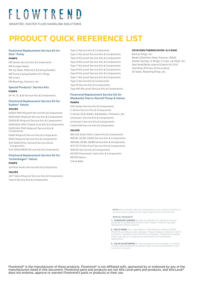**SMARTER, FASTER FLUID HANDLING SOLUTIONS** 

## **PRODUCT QUICK REFERENCE LIST**

#### **Flowtrend Replacement Service Kit for Sine® Pump**

#### **PUMPS**

MR Series Service Kits & Components MR Scraper Gates MR Lip Seals, Retainers & Casing Gaskets MR Pump Casing Gaskets & O-Rings MR Liners MR Bearings, Fastners, etc.

#### **Special Products® Service Kits PUMPS**

SP-41, 51, & 81 Service Kits & Components

#### **Flowtrend Replacement Service Kit for Sudmo® Valves**

#### **VALVES**

D365it PMO Mixproof Service Kits & Components D600/620 Mixproof Service Kits & Components D610/630 Mixproof Service Kits & Components D620/624-PMO Cheese Curd Kits & Components D620/624-PMO Mixproof Service Kits & **Components** 

D640 Mixproof Service Kits & Components D650 Mixproof Service Kits & Components SVP 2000 (Prior Version) Service Kits & Components

SVP 2000 (NEW) Service Kits & Components

#### **Flowtrend Replacement Service Kit for Tuchenhagen® Valves PUMPS**

Variflow Series Service Kits & Components

#### **VALVES**

24/7 Valve Mixproof Service Kits & Components Type N Service Kits & Components

Type U Service Kits & Components Type C Mix proof Service Kits & Components Type K Mix proof Service Kits & Components Type D Mix proof Service Kits & Components Type T Mix proof Service Kits & Components Type B Mix proof Service Kits & Components Type R Mix proof Service Kits & Components Type Y Mix proof Service Kits & Components Type X Service Kits & Components Type W Service Kits & Components

Type MO Mix proof Service Kits & Components

#### **Flowtrend Replacement Service Kit for Waukesha Cherry-Burrell®Pump & Valves PUMPS**

200 Series Service Kits & Components C-Series Service Kits & Components C-Series Stub Shafts, Backplates, Followers, etc. Universal I Service Kits & Components Universal II Service Kits & Components Colloid Mill Service Kits & Components

#### **VALVES**

W61 Old Style Cherry Valve Kits & Components W61/81, 62/82, 63/83 Service Kits & Components W64/84, 65/85, 68/88 Service Kits & Components W71/72/73 Mix Proof Service Kits & Components W91/92 Service kits & Components K67/69 Flowmaster Valve Kits & Components K67/69 Stems Check Balls

#### **VOTATORS/THERMUTATOR I & II SSHE**

Backup Rings, etc. Blades (Stainless Steel, Polymer, PEEK) Dasher Springs, O-Rings, U Cups, Lip Seals, etc. Seal Head/Body Inserts (Carbon & CrOx) Seal Body (Primary & Secondary) Oil Seals, Retaining Rings, etc.

**NOTE** We constantly add new components to our product portfolio. If you are unsure, please call to inquire about parts or service kits.

#### **SPECIAL REQUESTS**

**1. TUNGSTEN CARBIDE** All seals are offered in TC. We have recently produced TC components for the UI and Votator® SSHE for specialty applications (Peanut Butter).

2. FEP O-RINGS All o-rings (Metric or Standard) are offered in EPDM, FKM/FPM, and Silicone core materials. These O-Rings are Rated at -59.4ºC to 204.4ºC. Available in 50 or 90 Shore A Hardness. Therefore, all sealing points that rely on o-rings can be converted for Hi-Temp/Harsh applications

**3. VALVE ELASTOMERS** All valve elastomers are available in a variety of colors and compounds by special order to meet the demands of your customers' process.